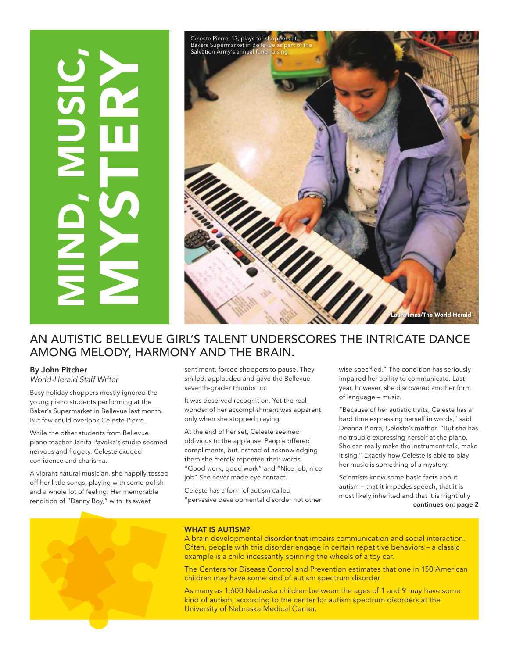

### An autistic Bellevue girl's talent underscores the intricate dance among melody, harmony and the brain.

#### By John Pitcher

*World-Herald Staff Writer*

Busy holiday shoppers mostly ignored the young piano students performing at the Baker's Supermarket in Bellevue last month. But few could overlook Celeste Pierre.

While the other students from Bellevue piano teacher Janita Pavelka's studio seemed nervous and fidgety, Celeste exuded confidence and charisma.

A vibrant natural musician, she happily tossed off her little songs, playing with some polish and a whole lot of feeling. Her memorable rendition of "Danny Boy," with its sweet

sentiment, forced shoppers to pause. They smiled, applauded and gave the Bellevue seventh-grader thumbs up.

It was deserved recognition. Yet the real wonder of her accomplishment was apparent only when she stopped playing.

At the end of her set, Celeste seemed oblivious to the applause. People offered compliments, but instead of acknowledging them she merely repented their words. "Good work, good work" and "Nice job, nice job" She never made eye contact.

Celeste has a form of autism called "pervasive developmental disorder not other wise specified." The condition has seriously impaired her ability to communicate. Last year, however, she discovered another form of language – music.

"Because of her autistic traits, Celeste has a hard time expressing herself in words," said Deanna Pierre, Celeste's mother. "But she has no trouble expressing herself at the piano. She can really make the instrument talk, make it sing." Exactly how Celeste is able to play her music is something of a mystery.

Scientists know some basic facts about autism – that it impedes speech, that it is most likely inherited and that it is frightfully continues on: page 2



#### WHAT IS AUTISM?

A brain developmental disorder that impairs communication and social interaction. Often, people with this disorder engage in certain repetitive behaviors – a classic example is a child incessantly spinning the wheels of a toy car.

The Centers for Disease Control and Prevention estimates that one in 150 American children may have some kind of autism spectrum disorder

As many as 1,600 Nebraska children between the ages of 1 and 9 may have some kind of autism, according to the center for autism spectrum disorders at the University of Nebraska Medical Center.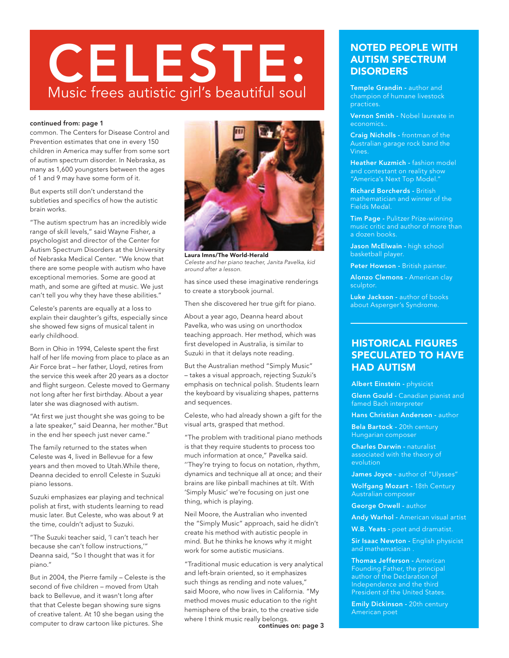# CELESTE: Music frees autistic girl's beautiful soul

#### continued from: page 1

common. The Centers for Disease Control and Prevention estimates that one in every 150 children in America may suffer from some sort of autism spectrum disorder. In Nebraska, as many as 1,600 youngsters between the ages of 1 and 9 may have some form of it.

But experts still don't understand the subtleties and specifics of how the autistic brain works.

"The autism spectrum has an incredibly wide range of skill levels," said Wayne Fisher, a psychologist and director of the Center for Autism Spectrum Disorders at the University of Nebraska Medical Center. "We know that there are some people with autism who have exceptional memories. Some are good at math, and some are gifted at music. We just can't tell you why they have these abilities."

Celeste's parents are equally at a loss to explain their daughter's gifts, especially since she showed few signs of musical talent in early childhood.

Born in Ohio in 1994, Celeste spent the first half of her life moving from place to place as an Air Force brat – her father, Lloyd, retires from the service this week after 20 years as a doctor and flight surgeon. Celeste moved to Germany not long after her first birthday. About a year later she was diagnosed with autism.

"At first we just thought she was going to be a late speaker," said Deanna, her mother."But in the end her speech just never came."

The family returned to the states when Celeste was 4, lived in Bellevue for a few years and then moved to Utah.While there, Deanna decided to enroll Celeste in Suzuki piano lessons.

Suzuki emphasizes ear playing and technical polish at first, with students learning to read music later. But Celeste, who was about 9 at the time, couldn't adjust to Suzuki.

"The Suzuki teacher said, 'I can't teach her because she can't follow instructions,'" Deanna said, "So I thought that was it for piano."

But in 2004, the Pierre family – Celeste is the second of five children – moved from Utah back to Bellevue, and it wasn't long after that that Celeste began showing sure signs of creative talent. At 10 she began using the computer to draw cartoon like pictures. She



*Celeste and her piano teacher, Janita Pavelka, kid around after a lesson.* Laura Imns/The World-Herald

has since used these imaginative renderings to create a storybook journal.

Then she discovered her true gift for piano.

About a year ago, Deanna heard about Pavelka, who was using on unorthodox teaching approach. Her method, which was first developed in Australia, is similar to Suzuki in that it delays note reading.

But the Australian method "Simply Music" – takes a visual approach, rejecting Suzuki's emphasis on technical polish. Students learn the keyboard by visualizing shapes, patterns and sequences.

Celeste, who had already shown a gift for the visual arts, grasped that method.

"The problem with traditional piano methods is that they require students to process too much information at once," Pavelka said. ''They're trying to focus on notation, rhythm, dynamics and technique all at once; and their brains are like pinball machines at tilt. With 'Simply Music' we're focusing on just one thing, which is playing.

Neil Moore, the Australian who invented the "Simply Music" approach, said he didn't create his method with autistic people in mind. But he thinks he knows why it might work for some autistic musicians.

"Traditional music education is very analytical and left-brain oriented, so it emphasizes such things as rending and note values," said Moore, who now lives in California. "My method moves music education to the right hemisphere of the brain, to the creative side where I think music really belongs.

continues on: page 3

#### Noted people with autism spectrum **DISORDERS**

Temple Grandin - author and champion of humane livestock practices.

Vernon Smith - Nobel laureate in economics..

Craig Nicholls - frontman of the Australian garage rock band the Vines.

Heather Kuzmich - fashion model and contestant on reality show "America's Next Top Model."

Richard Borcherds - British Fields Medal.

Tim Page - Pulitzer Prize-winning music critic and author of more than a dozen books.

Jason McElwain - high school basketball player.

Peter Howson - British painter.

Alonzo Clemons - American clay sculptor.

Luke Jackson - author of books about Asperger's Syndrome.

#### Historical figures speculated to have had autism

Albert Einstein - physicist

Glenn Gould - Canadian pianist and famed Bach interpreter

Hans Christian Anderson - author

Bela Bartock - 20th century Hungarian composer

Charles Darwin - naturalist associated with the theory of evolution

James Joyce - author of "Ulysses"

Wolfgang Mozart - 18th Century Australian composer

George Orwell - author

Andy Warhol - American visual artist

W.B. Yeats - poet and dramatist.

Sir Isaac Newton - English physicist and mathematician .

Thomas Jefferson - American Founding Father, the principal author of the Declaration of Independence and the third President of the United States.

Emily Dickinson - 20th century American poet